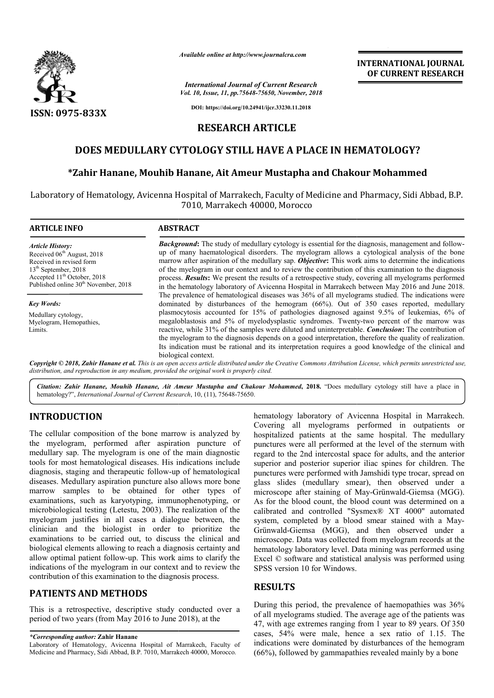

*Available online at http://www.journalcra.com*

*International Journal of Current Research Vol. 10, Issue, 11, pp.75648-75650, November, 2018*

**DOI: https://doi.org/10.24941/ijcr.33230.11.2018**

## **RESEARCH ARTICLE**

# DOES MEDULLARY CYTOLOGY STILL HAVE A PLACE IN HEMATOLOGY?

## **\*Zahir Hanane, Mouhib Hanane, Ait Ameur Mustapha and Chakour Mohammed**

Laboratory of Hematology, Avicenna Hospital of Marrakech, Faculty of Medicine and Pharmacy, Sidi Abbad, B.P. 7010, Marrakech 40000, Morocco

| <b>ARTICLE INFO</b>                                                                                                                                                                                                              | <b>ABSTRACT</b>                                                                                                                                                                                                                                                                                                                                                                                                                                                                                                                                                                                                                           |
|----------------------------------------------------------------------------------------------------------------------------------------------------------------------------------------------------------------------------------|-------------------------------------------------------------------------------------------------------------------------------------------------------------------------------------------------------------------------------------------------------------------------------------------------------------------------------------------------------------------------------------------------------------------------------------------------------------------------------------------------------------------------------------------------------------------------------------------------------------------------------------------|
| <b>Article History:</b><br>Received 06 <sup>th</sup> August, 2018<br>Received in revised form<br>13 <sup>th</sup> September, 2018<br>Accepted 11 <sup>th</sup> October, 2018<br>Published online 30 <sup>th</sup> November, 2018 | <b>Background:</b> The study of medullary cytology is essential for the diagnosis, management and follow-<br>up of many haematological disorders. The myelogram allows a cytological analysis of the bone<br>marrow after aspiration of the medullary sap. Objective: This work aims to determine the indications<br>of the myelogram in our context and to review the contribution of this examination to the diagnosis<br>process. <b>Results:</b> We present the results of a retrospective study, covering all myelograms performed<br>in the hematology laboratory of Avicenna Hospital in Marrakech between May 2016 and June 2018. |
| <b>Key Words:</b>                                                                                                                                                                                                                | The prevalence of hematological diseases was 36% of all myelograms studied. The indications were<br>dominated by disturbances of the hemogram (66%). Out of 350 cases reported, medullary                                                                                                                                                                                                                                                                                                                                                                                                                                                 |
| Medullary cytology,<br>Myelogram, Hemopathies,<br>Limits.                                                                                                                                                                        | plasmocytosis accounted for 15% of pathologies diagnosed against 9.5% of leukemias, 6% of<br>megaloblastosis and 5% of myelodysplastic syndromes. Twenty-two percent of the marrow was<br>reactive, while 31% of the samples were diluted and uninterpretable. <i>Conclusion</i> : The contribution of<br>the myelogram to the diagnosis depends on a good interpretation, therefore the quality of realization.<br>Its indication must be rational and its interpretation requires a good knowledge of the clinical and<br>biological context.                                                                                           |
|                                                                                                                                                                                                                                  | Copyright © 2018, Zahir Hanane et al. This is an open access article distributed under the Creative Commons Attribution License, which permits unrestricted use,<br>distribution, and reproduction in any medium, provided the original work is properly cited.                                                                                                                                                                                                                                                                                                                                                                           |

Citation: Zahir Hanane, Mouhib Hanane, Ait Ameur Mustapha and Chakour Mohammed, 2018. "Does medullary cytology still have a place in hematology?", *International Journal of Current Research* , 10, (11), 75648-75650.

## **INTRODUCTION**

The cellular composition of the bone marrow is analyzed by the myelogram, performed after aspiration puncture of medullary sap. The myelogram is one of the main diagnostic tools for most hematological diseases. His indications include diagnosis, staging and therapeutic follow-up of hematological diseases. Medullary aspiration puncture also allows more bone marrow samples to be obtained for other types of examinations, such as karyotyping, immunophenotyping, or microbiological testing (Letestu, 2003). The realization of the myelogram justifies in all cases a dialogue between, the clinician and the biologist in order to prioritize the examinations to be carried out, to discuss the clinical and biological elements allowing to reach a diagnosis certainty and allow optimal patient follow-up. This work aims to clarify the indications of the myelogram in our context and to review the contribution of this examination to the diagnosis process. ow-up<br>e also a<br>for<br>immun<br>). The

### **PATIENTS AND METHODS**

This is a retrospective, descriptive study conducted over a period of two years (from May 2016 to June 2018), at the

*\*Corresponding author:* **Zahir Hanane**

Laboratory of Hematology, Avicenna Hospital of Marrakech, Faculty of Medicine and Pharmacy, Sidi Abbad, B.P. 7010, Marrakech 40000, Morocco.

matology laboratory of Avicenna Hospital in Marrakech.<br>
Covering all myelograms performed in outpatients or<br>
after aspiration puncture of<br>
punctures were all performed at the level of the sternum with<br>
um is one of the mai Covering all myelograms performed in outpatients or hospitalized patients at the same hospital. The medullary punctures were all performed at the level of the sternum with regard to the 2nd intercostal space for adults, and the anterior superior and posterior superior iliac spines for children. The punctures were performed with Jamshidi type trocar, spread on glass slides (medullary smear), then observed microscope after staining of May-Grünwald-Giemsa (MGG). As for the blood count, the blood count was determined on a calibrated and controlled "Sysmex® XT 4000" automated system, completed by a blood smear stained with a May Grünwald-Giemsa (MGG), and then observed under a microscope. Data was collected from myelogram records at the hematology laboratory level. Data mining was performed using Excel © software and statistical analysis was performed using SPSS version 10 for Windows. Avicenna Hospital in Marrakech.<br>
s performed in outpatients or<br>
e same hospital. The medullary<br>
ed at the level of the sternum with regard to the 2nd intercostal space for adults, and the anterior<br>superior and posterior superior iliac spines for children. The<br>punctures were performed with Jamshidi type trocar, spread on<br>glass slides (medullary smear), the blood count, the blood count was determined on a<br>ed and controlled "Sysmex® XT 4000" automated<br>completed by a blood smear stained with a May-INTERNATIONAL JOURNAL<br>
INTERNATIONAL JOURNAL<br>
Soft Avenue, 2918<br>
Soft Avenue, 2918<br>
Soft Avenue, 2918<br>
Soft Avenue, 2918<br>
TICLE<br>
AVE A PLACE IN HEMATOLOGY?<br>
TICLE<br>
AVE A PLACE IN HEMATOLOGY?<br>
AUStapha and Chakour Mohammed<br>

**INTERNATIONAL JOURNAL OF CURRENT RESEARCH**

## **RESULTS**

During this period, the prevalence of haemopathies was 36% of all myelograms studied. The average age of the patients was 47, with age extremes ranging from 1 year to 89 years. Of 350 cases, 54% were male, hence a sex ratio of 1.15. The indications were dominated by disturbances of the hemogram (66%), followed by gammapathies revealed mainly by a bone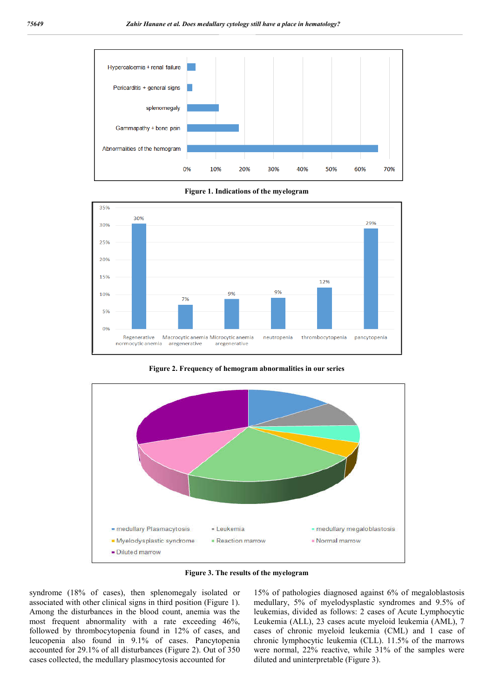

**Figure 1. Indications of the myelogram**



**Figure 2. Frequency of hemogram abnormalities in our series**



**Figure 3. The results of the myelogram**

syndrome (18% of cases), then splenomegaly isolated or associated with other clinical signs in third position (Figure 1). Among the disturbances in the blood count, anemia was the most frequent abnormality with a rate exceeding 46%, followed by thrombocytopenia found in 12% of cases, and leucopenia also found in 9.1% of cases. Pancytopenia accounted for 29.1% of all disturbances (Figure 2). Out of 350 cases collected, the medullary plasmocytosis accounted for

15% of pathologies diagnosed against 6% of megaloblastosis medullary, 5% of myelodysplastic syndromes and 9.5% of leukemias, divided as follows: 2 cases of Acute Lymphocytic Leukemia (ALL), 23 cases acute myeloid leukemia (AML), 7 cases of chronic myeloid leukemia (CML) and 1 case of chronic lymphocytic leukemia (CLL). 11.5% of the marrows were normal, 22% reactive, while 31% of the samples were diluted and uninterpretable (Figure 3).